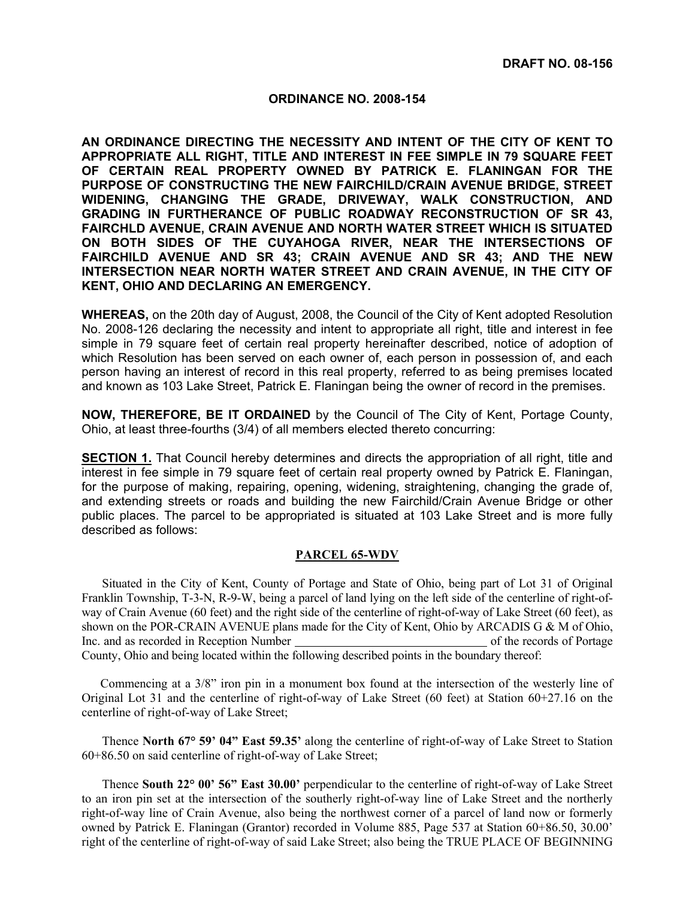## **ORDINANCE NO. 2008-154**

**AN ORDINANCE DIRECTING THE NECESSITY AND INTENT OF THE CITY OF KENT TO APPROPRIATE ALL RIGHT, TITLE AND INTEREST IN FEE SIMPLE IN 79 SQUARE FEET OF CERTAIN REAL PROPERTY OWNED BY PATRICK E. FLANINGAN FOR THE PURPOSE OF CONSTRUCTING THE NEW FAIRCHILD/CRAIN AVENUE BRIDGE, STREET WIDENING, CHANGING THE GRADE, DRIVEWAY, WALK CONSTRUCTION, AND GRADING IN FURTHERANCE OF PUBLIC ROADWAY RECONSTRUCTION OF SR 43, FAIRCHLD AVENUE, CRAIN AVENUE AND NORTH WATER STREET WHICH IS SITUATED ON BOTH SIDES OF THE CUYAHOGA RIVER, NEAR THE INTERSECTIONS OF FAIRCHILD AVENUE AND SR 43; CRAIN AVENUE AND SR 43; AND THE NEW INTERSECTION NEAR NORTH WATER STREET AND CRAIN AVENUE, IN THE CITY OF KENT, OHIO AND DECLARING AN EMERGENCY.** 

**WHEREAS,** on the 20th day of August, 2008, the Council of the City of Kent adopted Resolution No. 2008-126 declaring the necessity and intent to appropriate all right, title and interest in fee simple in 79 square feet of certain real property hereinafter described, notice of adoption of which Resolution has been served on each owner of, each person in possession of, and each person having an interest of record in this real property, referred to as being premises located and known as 103 Lake Street, Patrick E. Flaningan being the owner of record in the premises.

**NOW, THEREFORE, BE IT ORDAINED** by the Council of The City of Kent, Portage County, Ohio, at least three-fourths (3/4) of all members elected thereto concurring:

**SECTION 1.** That Council hereby determines and directs the appropriation of all right, title and interest in fee simple in 79 square feet of certain real property owned by Patrick E. Flaningan, for the purpose of making, repairing, opening, widening, straightening, changing the grade of, and extending streets or roads and building the new Fairchild/Crain Avenue Bridge or other public places. The parcel to be appropriated is situated at 103 Lake Street and is more fully described as follows:

## **PARCEL 65-WDV**

 Situated in the City of Kent, County of Portage and State of Ohio, being part of Lot 31 of Original Franklin Township, T-3-N, R-9-W, being a parcel of land lying on the left side of the centerline of right-ofway of Crain Avenue (60 feet) and the right side of the centerline of right-of-way of Lake Street (60 feet), as shown on the POR-CRAIN AVENUE plans made for the City of Kent, Ohio by ARCADIS G & M of Ohio, Inc. and as recorded in Reception Number of the records of Portage County, Ohio and being located within the following described points in the boundary thereof:

 Commencing at a 3/8" iron pin in a monument box found at the intersection of the westerly line of Original Lot 31 and the centerline of right-of-way of Lake Street (60 feet) at Station 60+27.16 on the centerline of right-of-way of Lake Street;

 Thence **North 67° 59' 04" East 59.35'** along the centerline of right-of-way of Lake Street to Station 60+86.50 on said centerline of right-of-way of Lake Street;

 Thence **South 22° 00' 56" East 30.00'** perpendicular to the centerline of right-of-way of Lake Street to an iron pin set at the intersection of the southerly right-of-way line of Lake Street and the northerly right-of-way line of Crain Avenue, also being the northwest corner of a parcel of land now or formerly owned by Patrick E. Flaningan (Grantor) recorded in Volume 885, Page 537 at Station 60+86.50, 30.00' right of the centerline of right-of-way of said Lake Street; also being the TRUE PLACE OF BEGINNING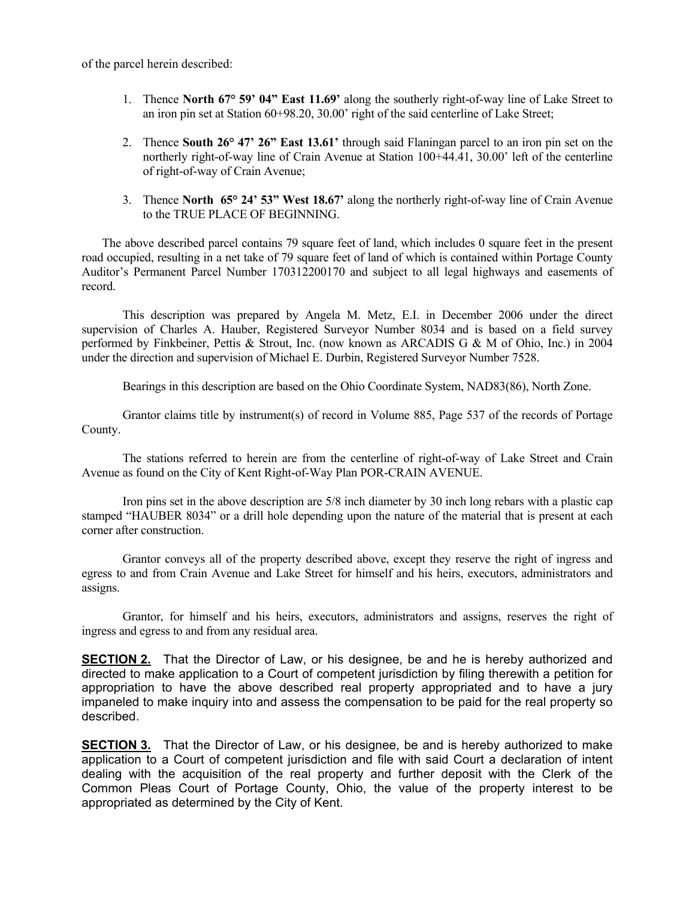of the parcel herein described:

- 1. Thence **North 67° 59' 04" East 11.69'** along the southerly right-of-way line of Lake Street to an iron pin set at Station 60+98.20, 30.00' right of the said centerline of Lake Street;
- 2. Thence **South 26° 47' 26" East 13.61'** through said Flaningan parcel to an iron pin set on the northerly right-of-way line of Crain Avenue at Station 100+44.41, 30.00' left of the centerline of right-of-way of Crain Avenue;
- 3. Thence **North 65° 24' 53" West 18.67'** along the northerly right-of-way line of Crain Avenue to the TRUE PLACE OF BEGINNING.

 The above described parcel contains 79 square feet of land, which includes 0 square feet in the present road occupied, resulting in a net take of 79 square feet of land of which is contained within Portage County Auditor's Permanent Parcel Number 170312200170 and subject to all legal highways and easements of record.

 This description was prepared by Angela M. Metz, E.I. in December 2006 under the direct supervision of Charles A. Hauber, Registered Surveyor Number 8034 and is based on a field survey performed by Finkbeiner, Pettis & Strout, Inc. (now known as ARCADIS G & M of Ohio, Inc.) in 2004 under the direction and supervision of Michael E. Durbin, Registered Surveyor Number 7528.

Bearings in this description are based on the Ohio Coordinate System, NAD83(86), North Zone.

 Grantor claims title by instrument(s) of record in Volume 885, Page 537 of the records of Portage County.

 The stations referred to herein are from the centerline of right-of-way of Lake Street and Crain Avenue as found on the City of Kent Right-of-Way Plan POR-CRAIN AVENUE.

 Iron pins set in the above description are 5/8 inch diameter by 30 inch long rebars with a plastic cap stamped "HAUBER 8034" or a drill hole depending upon the nature of the material that is present at each corner after construction.

 Grantor conveys all of the property described above, except they reserve the right of ingress and egress to and from Crain Avenue and Lake Street for himself and his heirs, executors, administrators and assigns.

 Grantor, for himself and his heirs, executors, administrators and assigns, reserves the right of ingress and egress to and from any residual area.

**SECTION 2.** That the Director of Law, or his designee, be and he is hereby authorized and directed to make application to a Court of competent jurisdiction by filing therewith a petition for appropriation to have the above described real property appropriated and to have a jury impaneled to make inquiry into and assess the compensation to be paid for the real property so described.

**SECTION 3.** That the Director of Law, or his designee, be and is hereby authorized to make application to a Court of competent jurisdiction and file with said Court a declaration of intent dealing with the acquisition of the real property and further deposit with the Clerk of the Common Pleas Court of Portage County, Ohio, the value of the property interest to be appropriated as determined by the City of Kent.